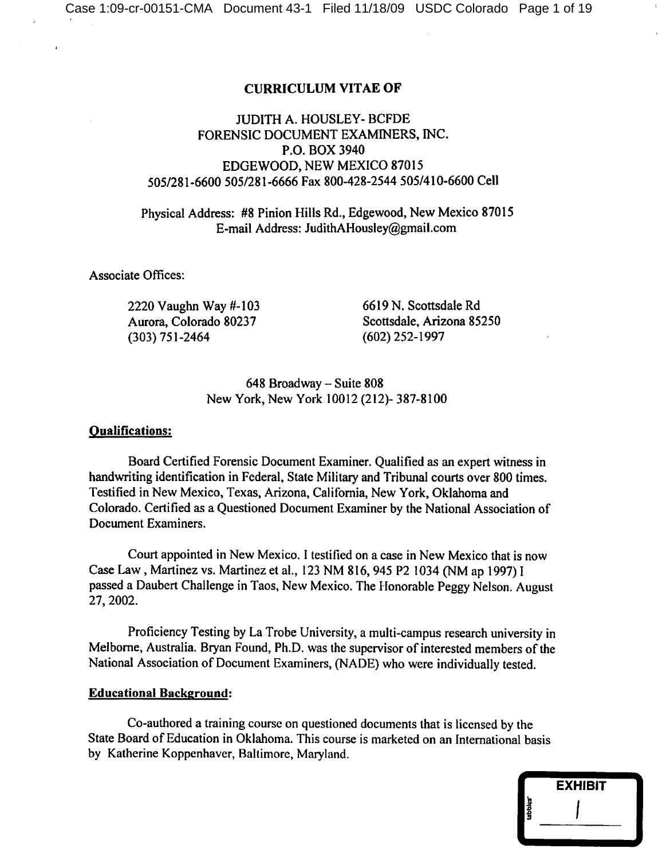## **CURRICULUM VITAE OF**

# **JUDITH A. HOUSLEY- BCFDE** FORENSIC DOCUMENT EXAMINERS, INC. P.O. BOX 3940 EDGEWOOD, NEW MEXICO 87015 505/281-6600 505/281-6666 Fax 800-428-2544 505/410-6600 Cell

Physical Address: #8 Pinion Hills Rd., Edgewood, New Mexico 87015 E-mail Address: JudithAHousley@gmail.com

**Associate Offices:** 

2220 Vaughn Way #-103 Aurora, Colorado 80237  $(303) 751 - 2464$ 

6619 N. Scottsdale Rd Scottsdale, Arizona 85250  $(602)$  252-1997

648 Broadway - Suite 808 New York, New York 10012 (212)-387-8100

## **Oualifications:**

Board Certified Forensic Document Examiner. Qualified as an expert witness in handwriting identification in Federal, State Military and Tribunal courts over 800 times. Testified in New Mexico, Texas, Arizona, California, New York, Oklahoma and Colorado. Certified as a Questioned Document Examiner by the National Association of Document Examiners.

Court appointed in New Mexico. I testified on a case in New Mexico that is now Case Law, Martinez vs. Martinez et al., 123 NM 816, 945 P2 1034 (NM ap 1997) I passed a Daubert Challenge in Taos, New Mexico. The Honorable Peggy Nelson. August 27, 2002.

Proficiency Testing by La Trobe University, a multi-campus research university in Melborne, Australia. Bryan Found, Ph.D. was the supervisor of interested members of the National Association of Document Examiners, (NADE) who were individually tested.

## **Educational Background:**

Co-authored a training course on questioned documents that is licensed by the State Board of Education in Oklahoma. This course is marketed on an International basis by Katherine Koppenhaver, Baltimore, Maryland.

|       | <b>EXHIBIT</b> |  |
|-------|----------------|--|
| ubble |                |  |
|       |                |  |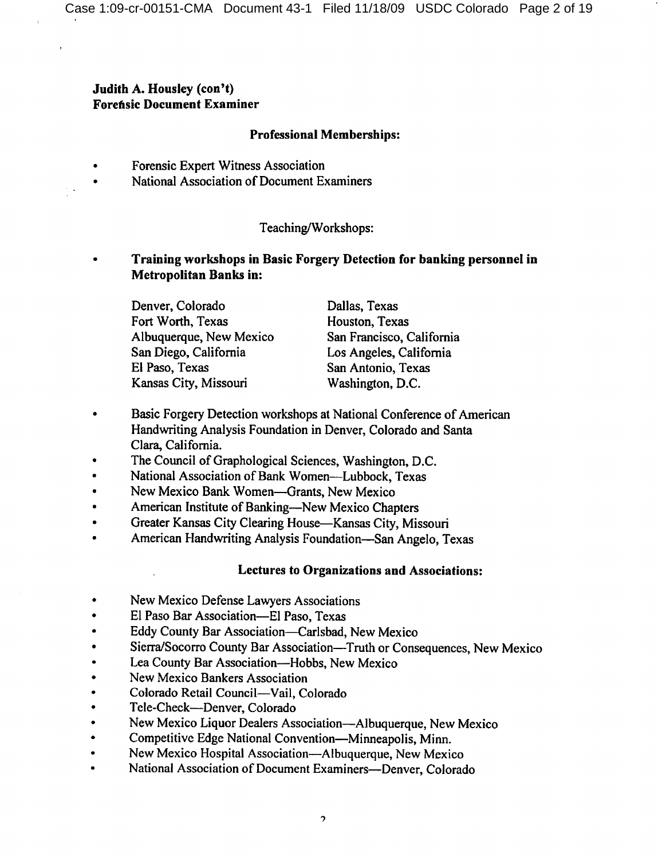# Judith A. Housley (con't) **Forensic Document Examiner**

# **Professional Memberships:**

- Forensic Expert Witness Association
- National Association of Document Examiners

# Teaching/Workshops:

# Training workshops in Basic Forgery Detection for banking personnel in **Metropolitan Banks in:**

Denver, Colorado Fort Worth, Texas Albuquerque, New Mexico San Diego, California El Paso, Texas Kansas City, Missouri

Dallas, Texas Houston, Texas San Francisco, California Los Angeles, California San Antonio, Texas Washington, D.C.

- $\bullet$ Basic Forgery Detection workshops at National Conference of American Handwriting Analysis Foundation in Denver, Colorado and Santa Clara, California.
- The Council of Graphological Sciences, Washington, D.C.
- National Association of Bank Women—Lubbock, Texas
- New Mexico Bank Women-Grants, New Mexico
- American Institute of Banking-New Mexico Chapters
- Greater Kansas City Clearing House-Kansas City, Missouri  $\bullet$
- American Handwriting Analysis Foundation—San Angelo, Texas

# **Lectures to Organizations and Associations:**

- New Mexico Defense Lawyers Associations
- El Paso Bar Association-El Paso, Texas
- Eddy County Bar Association-Carlsbad, New Mexico
- Sierra/Socorro County Bar Association—Truth or Consequences, New Mexico
- Lea County Bar Association-Hobbs, New Mexico
- New Mexico Bankers Association
- Colorado Retail Council-Vail, Colorado
- Tele-Check--Denver, Colorado
- New Mexico Liquor Dealers Association-Albuquerque, New Mexico
- Competitive Edge National Convention-Minneapolis, Minn.
- New Mexico Hospital Association—Albuquerque, New Mexico  $\bullet$
- National Association of Document Examiners-Denver, Colorado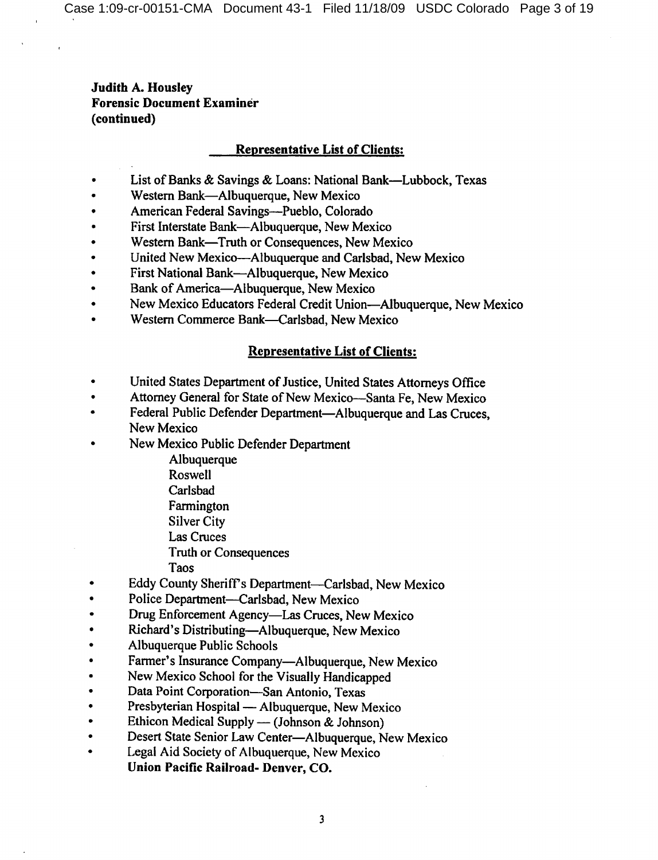## **Representative List of Clients:**

- List of Banks & Savings & Loans: National Bank—Lubbock, Texas  $\bullet$
- Western Bank-Albuquerque, New Mexico
- American Federal Savings-Pueblo, Colorado
- First Interstate Bank—Albuquerque, New Mexico
- Western Bank-Truth or Consequences, New Mexico
- United New Mexico-Albuquerque and Carlsbad, New Mexico
- First National Bank—Albuquerque, New Mexico
- Bank of America-Albuquerque, New Mexico
- New Mexico Educators Federal Credit Union—Albuquerque, New Mexico
- Western Commerce Bank-Carlsbad, New Mexico

## **Representative List of Clients:**

- United States Department of Justice, United States Attorneys Office
- Attorney General for State of New Mexico-Santa Fe, New Mexico  $\bullet$
- Federal Public Defender Department-Albuquerque and Las Cruces,  $\bullet$ New Mexico
- New Mexico Public Defender Department
	- Albuquerque
	- Roswell
	- Carlsbad
	- Farmington
	- **Silver City**
	- Las Cruces
	- **Truth or Consequences**
	- Taos
- Eddy County Sheriff's Department-Carlsbad, New Mexico
- Police Department-Carlsbad, New Mexico
- Drug Enforcement Agency—Las Cruces, New Mexico
- Richard's Distributing—Albuquerque, New Mexico
- Albuquerque Public Schools
- Farmer's Insurance Company—Albuquerque, New Mexico
- New Mexico School for the Visually Handicapped
- Data Point Corporation-San Antonio, Texas
- Presbyterian Hospital Albuquerque, New Mexico
- Ethicon Medical Supply (Johnson & Johnson)
- Desert State Senior Law Center-Albuquerque, New Mexico
- Legal Aid Society of Albuquerque, New Mexico Union Pacific Railroad- Denver, CO.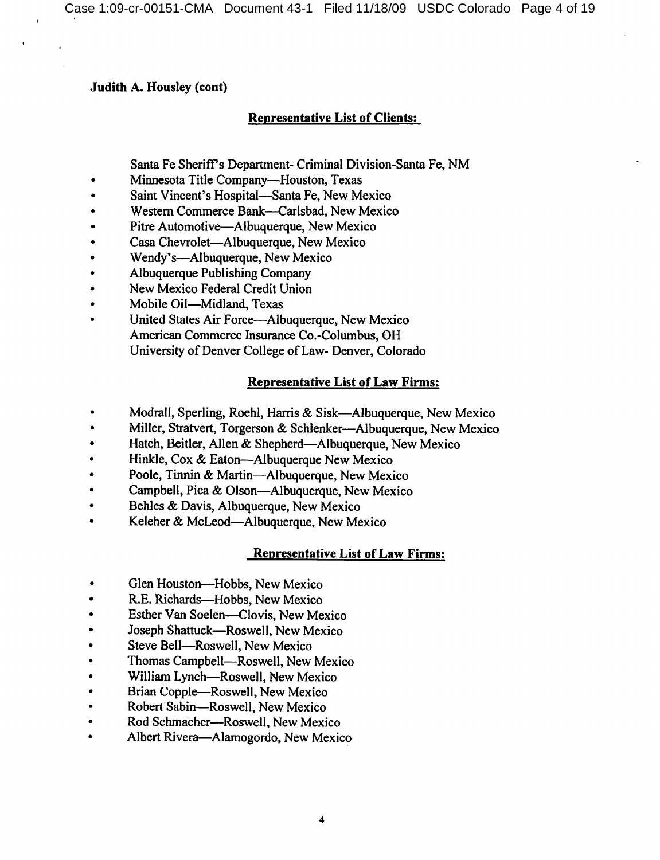## **Judith A. Housley (cont)**

# **Representative List of Clients:**

Santa Fe Sheriff's Department- Criminal Division-Santa Fe, NM

- Minnesota Title Company-Houston, Texas  $\bullet$
- Saint Vincent's Hospital-Santa Fe, New Mexico
- Western Commerce Bank-Carlsbad, New Mexico
- Pitre Automotive—Albuquerque, New Mexico
- Casa Chevrolet—Albuquerque, New Mexico
- Wendy's-Albuquerque, New Mexico
- Albuquerque Publishing Company
- New Mexico Federal Credit Union
- Mobile Oil-Midland, Texas
- United States Air Force—Albuquerque, New Mexico American Commerce Insurance Co.-Columbus, OH University of Denver College of Law- Denver, Colorado

# **Representative List of Law Firms:**

- Modrall, Sperling, Roehl, Harris & Sisk-Albuquerque, New Mexico
- Miller, Stratvert, Torgerson & Schlenker—Albuquerque, New Mexico
- Hatch, Beitler, Allen & Shepherd-Albuquerque, New Mexico
- Hinkle, Cox & Eaton—Albuquerque New Mexico
- Poole, Tinnin & Martin-Albuquerque, New Mexico
- Campbell, Pica & Olson—Albuquerque, New Mexico  $\bullet$
- Behles & Davis, Albuquerque, New Mexico
- Keleher & McLeod—Albuquerque, New Mexico

# **Representative List of Law Firms:**

- Glen Houston-Hobbs, New Mexico
- R.E. Richards-Hobbs, New Mexico
- Esther Van Soelen-Clovis, New Mexico
- Joseph Shattuck-Roswell, New Mexico
- Steve Bell-Roswell, New Mexico
- Thomas Campbell-Roswell, New Mexico
- William Lynch-Roswell, New Mexico
- Brian Copple—Roswell, New Mexico
- Robert Sabin-Roswell, New Mexico  $\bullet$
- Rod Schmacher-Roswell, New Mexico  $\bullet$
- Albert Rivera-Alamogordo, New Mexico  $\bullet$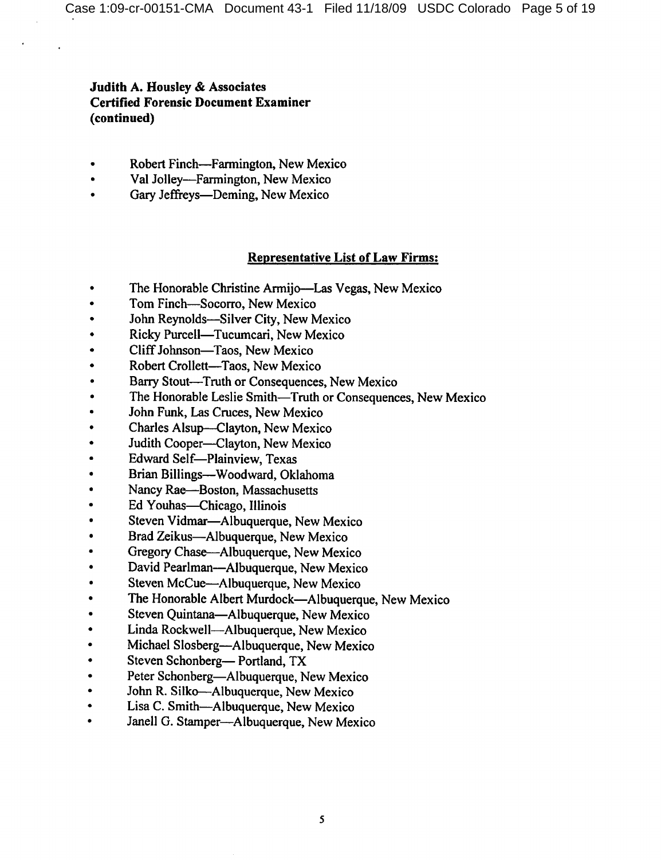- Robert Finch-Farmington, New Mexico
- Val Jolley-Farmington, New Mexico  $\bullet$
- Gary Jeffreys—Deming, New Mexico

## **Representative List of Law Firms:**

- The Honorable Christine Armijo—Las Vegas, New Mexico  $\bullet$
- Tom Finch-Socorro, New Mexico  $\bullet$
- John Reynolds-Silver City, New Mexico
- Ricky Purcell—Tucumcari, New Mexico
- Cliff Johnson-Taos, New Mexico
- Robert Crollett-Taos, New Mexico
- Barry Stout-Truth or Consequences, New Mexico
- The Honorable Leslie Smith-Truth or Consequences, New Mexico
- John Funk, Las Cruces, New Mexico
- Charles Alsup-Clayton, New Mexico
- Judith Cooper-Clayton, New Mexico
- Edward Self-Plainview, Texas
- Brian Billings--Woodward, Oklahoma
- Nancy Rae-Boston, Massachusetts
- Ed Youhas—Chicago, Illinois
- Steven Vidmar-Albuquerque, New Mexico
- Brad Zeikus-Albuquerque, New Mexico
- Gregory Chase—Albuquerque, New Mexico
- David Pearlman-Albuquerque, New Mexico
- Steven McCue—Albuquerque, New Mexico
- The Honorable Albert Murdock—Albuquerque, New Mexico
- Steven Quintana-Albuquerque, New Mexico
- Linda Rockwell-Albuquerque, New Mexico  $\bullet$
- Michael Slosberg—Albuquerque, New Mexico  $\bullet$
- Steven Schonberg-Portland, TX
- Peter Schonberg-Albuquerque, New Mexico  $\bullet$
- John R. Silko—Albuquerque, New Mexico  $\bullet$
- Lisa C. Smith-Albuquerque, New Mexico  $\bullet$
- Janell G. Stamper-Albuquerque, New Mexico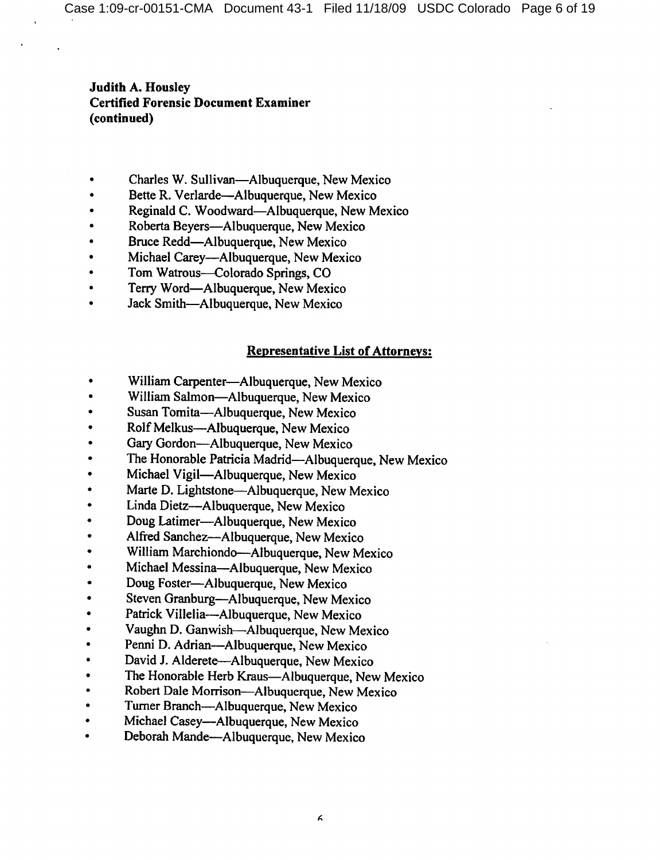- Charles W. Sullivan-Albuquerque, New Mexico
- Bette R. Verlarde—Albuquerque, New Mexico
- Reginald C. Woodward—Albuquerque, New Mexico
- Roberta Beyers-Albuquerque, New Mexico
- Bruce Redd—Albuquerque, New Mexico
- Michael Carey—Albuquerque, New Mexico
- Tom Watrous-Colorado Springs, CO
- Terry Word—Albuquerque, New Mexico
- Jack Smith-Albuquerque, New Mexico

# **Representative List of Attorneys:**

- William Carpenter-Albuquerque, New Mexico  $\bullet$
- William Salmon-Albuquerque, New Mexico
- $\bullet$ Susan Tomita—Albuquerque, New Mexico
- Rolf Melkus—Albuquerque, New Mexico
- Gary Gordon-Albuquerque, New Mexico  $\bullet$
- The Honorable Patricia Madrid-Albuquerque, New Mexico  $\bullet$
- Michael Vigil-Albuquerque, New Mexico
- Marte D. Lightstone—Albuquerque, New Mexico  $\bullet$
- Linda Dietz-Albuquerque, New Mexico  $\bullet$
- Doug Latimer-Albuquerque, New Mexico  $\bullet$
- Alfred Sanchez-Albuquerque, New Mexico  $\bullet$
- William Marchiondo—Albuquerque, New Mexico
- Michael Messina-Albuquerque, New Mexico  $\bullet$
- Doug Foster-Albuquerque, New Mexico  $\bullet$
- Steven Granburg-Albuquerque, New Mexico
- Patrick Villelia-Albuquerque, New Mexico  $\bullet$
- Vaughn D. Ganwish-Albuquerque, New Mexico
- Penni D. Adrian—Albuquerque, New Mexico
- David J. Alderete-Albuquerque, New Mexico
- The Honorable Herb Kraus—Albuquerque, New Mexico
- Robert Dale Morrison-Albuquerque, New Mexico
- Turner Branch—Albuquerque, New Mexico
- Michael Casey—Albuquerque, New Mexico
- Deborah Mande-Albuquerque, New Mexico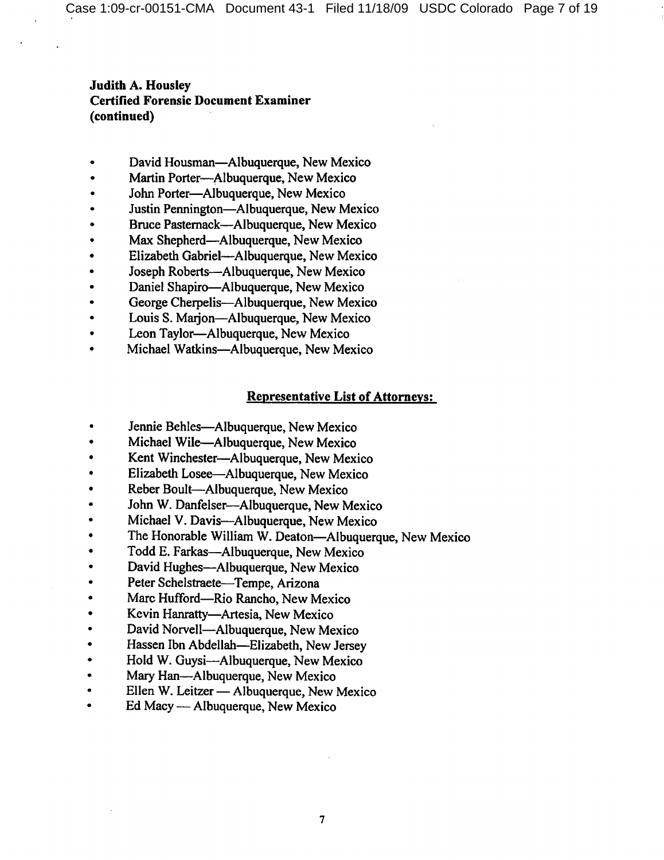- David Housman—Albuquerque, New Mexico
- Martin Porter-Albuquerque, New Mexico
- John Porter-Albuquerque, New Mexico
- Justin Pennington—Albuquerque, New Mexico
- Bruce Pasternack—Albuquerque, New Mexico
- Max Shepherd—Albuquerque, New Mexico
- Elizabeth Gabriel-Albuquerque, New Mexico
- Joseph Roberts-Albuquerque, New Mexico
- Daniel Shapiro-Albuquerque, New Mexico
- George Cherpelis-Albuquerque, New Mexico
- Louis S. Marjon-Albuquerque, New Mexico
- Leon Taylor-Albuquerque, New Mexico
- Michael Watkins-Albuquerque, New Mexico

### **Representative List of Attorneys:**

- Jennie Behles-Albuquerque, New Mexico
- Michael Wile-Albuquerque, New Mexico
- Kent Winchester-Albuquerque, New Mexico  $\bullet$
- Elizabeth Losee—Albuquerque, New Mexico
- Reber Boult-Albuquerque, New Mexico  $\bullet$
- John W. Danfelser-Albuquerque, New Mexico  $\bullet$
- Michael V. Davis-Albuquerque, New Mexico
- The Honorable William W. Deaton-Albuquerque, New Mexico  $\bullet$
- Todd E. Farkas—Albuquerque, New Mexico  $\bullet$
- David Hughes-Albuquerque, New Mexico  $\bullet$
- Peter Schelstraete-Tempe, Arizona  $\bullet$
- Marc Hufford—Rio Rancho, New Mexico
- Kevin Hanratty-Artesia, New Mexico  $\bullet$
- David Norvell-Albuquerque, New Mexico
- Hassen Ibn Abdellah-Elizabeth, New Jersey
- Hold W. Guysi-Albuquerque, New Mexico  $\bullet$
- Mary Han-Albuquerque, New Mexico  $\bullet$
- Ellen W. Leitzer Albuquerque, New Mexico
- Ed Macy Albuquerque, New Mexico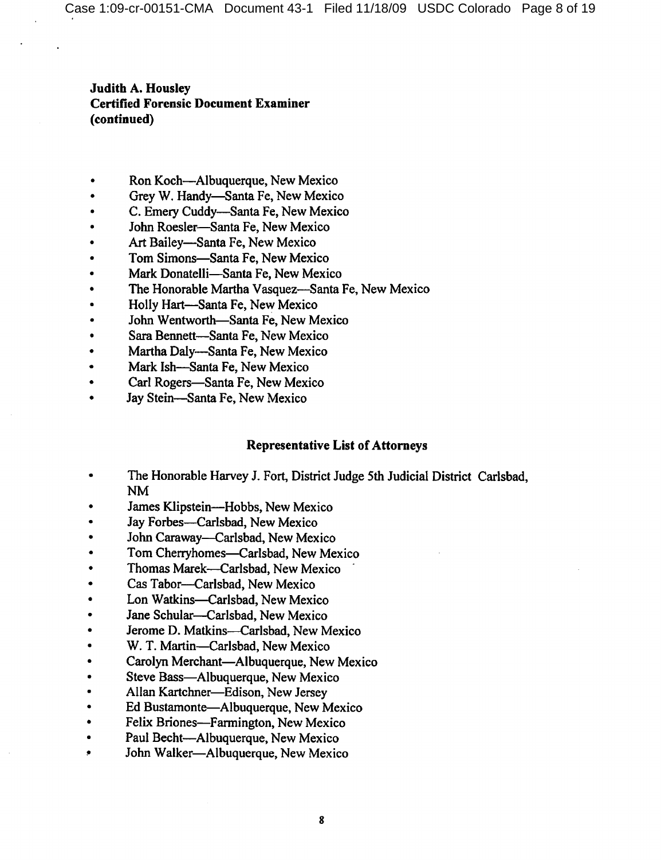- Ron Koch—Albuquerque, New Mexico
- Grey W. Handy-Santa Fe, New Mexico
- C. Emery Cuddy-Santa Fe, New Mexico
- John Roesler-Santa Fe, New Mexico
- Art Bailey-Santa Fe, New Mexico
- Tom Simons-Santa Fe, New Mexico
- Mark Donatelli-Santa Fe, New Mexico
- The Honorable Martha Vasquez—Santa Fe, New Mexico
- Holly Hart-Santa Fe, New Mexico
- John Wentworth-Santa Fe, New Mexico
- Sara Bennett-Santa Fe, New Mexico
- Martha Daly--Santa Fe, New Mexico
- Mark Ish-Santa Fe, New Mexico
- Carl Rogers-Santa Fe, New Mexico
- Jay Stein-Santa Fe. New Mexico

## **Representative List of Attorneys**

- The Honorable Harvey J. Fort, District Judge 5th Judicial District Carlsbad, **NM**
- James Klipstein-Hobbs, New Mexico
- Jay Forbes-Carlsbad, New Mexico
- John Caraway-Carlsbad, New Mexico
- Tom Cherryhomes-Carlsbad, New Mexico
- Thomas Marek-Carlsbad, New Mexico
- Cas Tabor-Carlsbad, New Mexico
- Lon Watkins-Carlsbad, New Mexico
- Jane Schular-Carlsbad, New Mexico  $\bullet$
- Jerome D. Matkins-Carlsbad, New Mexico Ă
- W. T. Martin-Carlsbad, New Mexico
- Carolyn Merchant-Albuquerque, New Mexico  $\bullet$
- Steve Bass-Albuquerque, New Mexico
- Allan Kartchner-Edison, New Jersey
- Ed Bustamonte-Albuquerque, New Mexico  $\bullet$
- Felix Briones-Farmington, New Mexico
- Paul Becht-Albuquerque, New Mexico
- John Walker-Albuquerque, New Mexico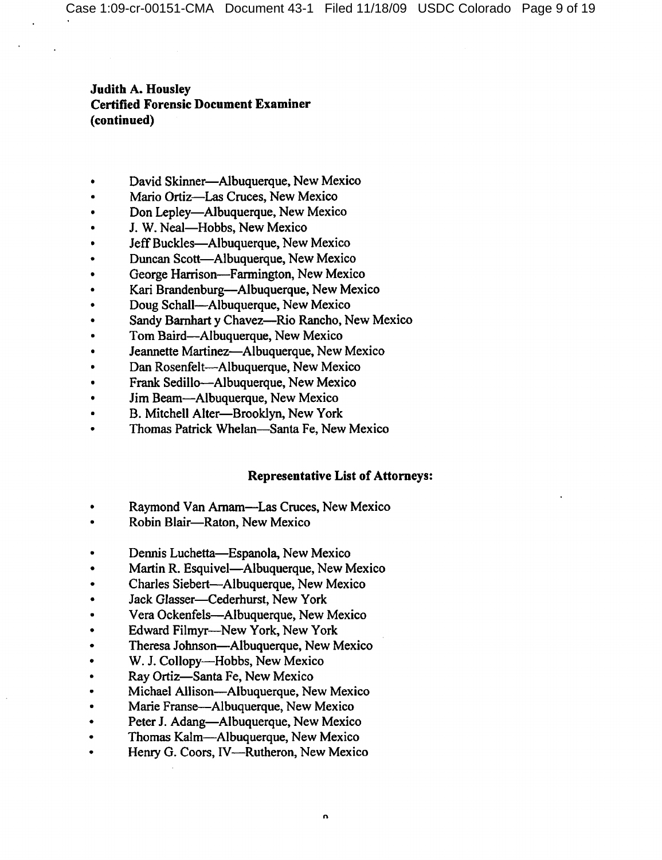- David Skinner—Albuquerque, New Mexico
- Mario Ortiz-Las Cruces, New Mexico
- Don Lepley—Albuquerque, New Mexico
- J. W. Neal-Hobbs, New Mexico
- Jeff Buckles-Albuquerque, New Mexico
- Duncan Scott-Albuquerque, New Mexico
- George Harrison-Farmington, New Mexico
- Kari Brandenburg-Albuquerque, New Mexico
- Doug Schall-Albuquerque, New Mexico
- Sandy Barnhart y Chavez-Rio Rancho, New Mexico
- Tom Baird—Albuquerque, New Mexico
- Jeannette Martinez-Albuquerque, New Mexico
- Dan Rosenfelt---Albuquerque, New Mexico
- Frank Sedillo-Albuquerque, New Mexico
- Jim Beam-Albuquerque, New Mexico  $\bullet$
- B. Mitchell Alter-Brooklyn, New York
- Thomas Patrick Whelan-Santa Fe, New Mexico

## **Representative List of Attorneys:**

- Raymond Van Arnam—Las Cruces, New Mexico
- Robin Blair-Raton, New Mexico
- Dennis Luchetta—Espanola, New Mexico
- Martin R. Esquivel—Albuquerque, New Mexico
- Charles Siebert-Albuquerque, New Mexico
- Jack Glasser-Cederhurst, New York
- Vera Ockenfels-Albuquerque, New Mexico
- Edward Filmyr---New York, New York
- Theresa Johnson-Albuquerque, New Mexico
- W. J. Collopy-Hobbs, New Mexico
- Ray Ortiz-Santa Fe, New Mexico
- Michael Allison—Albuquerque, New Mexico
- Marie Franse-Albuquerque, New Mexico
- Peter J. Adang—Albuquerque, New Mexico
- Thomas Kalm-Albuquerque, New Mexico
- Henry G. Coors, IV—Rutheron, New Mexico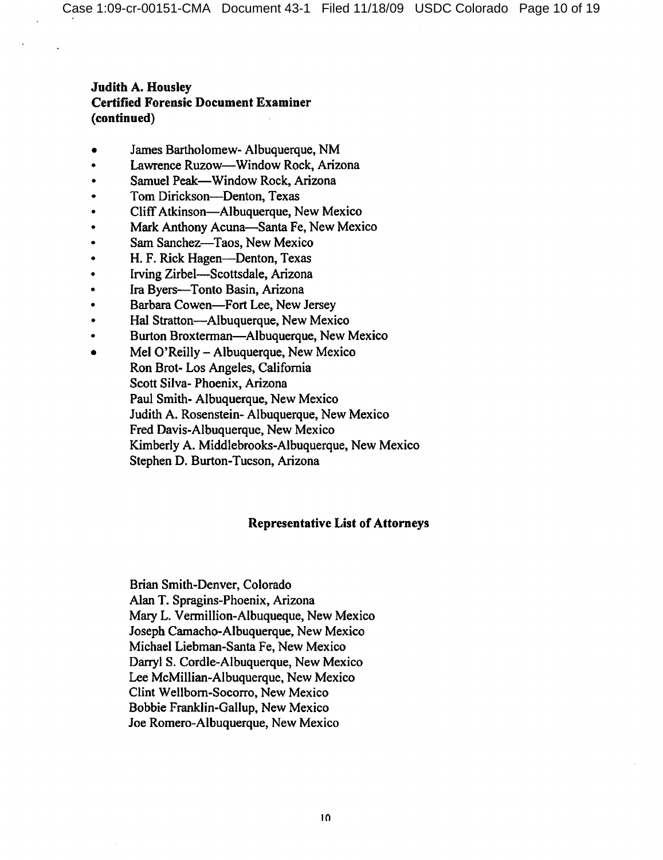- James Bartholomew- Albuquerque, NM
- Lawrence Ruzow-Window Rock, Arizona
- Samuel Peak—Window Rock, Arizona
- Tom Dirickson-Denton, Texas
- Cliff Atkinson—Albuquerque, New Mexico
- Mark Anthony Acuna-Santa Fe, New Mexico
- Sam Sanchez-Taos, New Mexico
- H. F. Rick Hagen-Denton, Texas
- Irving Zirbel-Scottsdale, Arizona
- Ira Byers-Tonto Basin, Arizona
- Barbara Cowen-Fort Lee, New Jersey
- Hal Stratton-Albuquerque, New Mexico
- Burton Broxterman—Albuquerque, New Mexico
- Mel O'Reilly Albuquerque, New Mexico Ron Brot-Los Angeles, California Scott Silva-Phoenix, Arizona Paul Smith-Albuquerque, New Mexico Judith A. Rosenstein- Albuquerque, New Mexico Fred Davis-Albuquerque, New Mexico Kimberly A. Middlebrooks-Albuquerque, New Mexico Stephen D. Burton-Tucson, Arizona

## **Representative List of Attorneys**

Brian Smith-Denver, Colorado Alan T. Spragins-Phoenix, Arizona Mary L. Vermillion-Albuqueque, New Mexico Joseph Camacho-Albuquerque, New Mexico Michael Liebman-Santa Fe, New Mexico Darryl S. Cordle-Albuquerque, New Mexico Lee McMillian-Albuquerque, New Mexico Clint Wellborn-Socorro, New Mexico Bobbie Franklin-Gallup, New Mexico Joe Romero-Albuquerque, New Mexico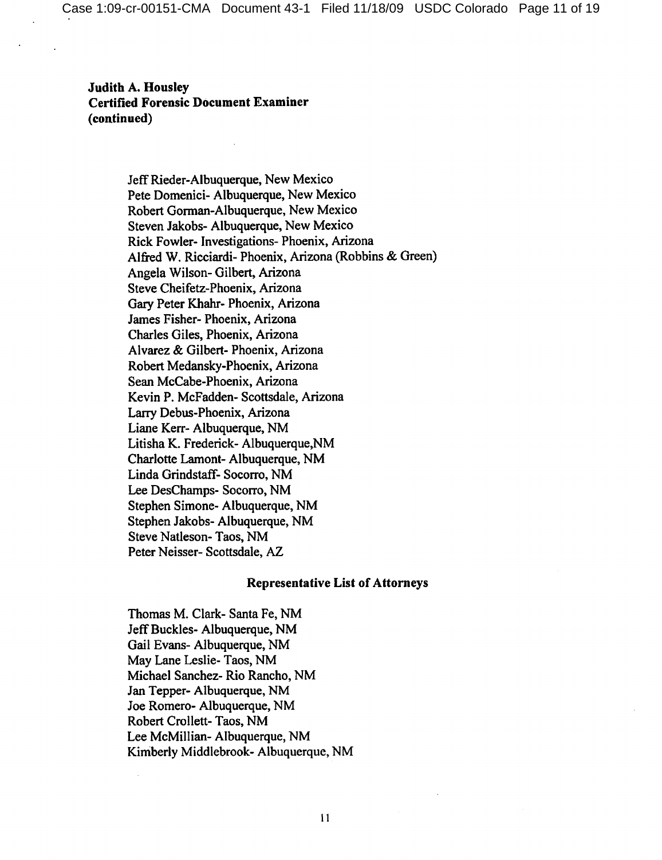> Jeff Rieder-Albuquerque, New Mexico Pete Domenici- Albuquerque, New Mexico Robert Gorman-Albuquerque, New Mexico Steven Jakobs- Albuquerque, New Mexico Rick Fowler- Investigations- Phoenix, Arizona Alfred W. Ricciardi- Phoenix, Arizona (Robbins & Green) Angela Wilson-Gilbert, Arizona Steve Cheifetz-Phoenix, Arizona Gary Peter Khahr- Phoenix, Arizona James Fisher-Phoenix, Arizona Charles Giles, Phoenix, Arizona Alvarez & Gilbert- Phoenix, Arizona Robert Medansky-Phoenix, Arizona Sean McCabe-Phoenix, Arizona Kevin P. McFadden- Scottsdale, Arizona Larry Debus-Phoenix, Arizona Liane Kerr- Albuquerque, NM Litisha K. Frederick-Albuquerque, NM Charlotte Lamont- Albuquerque, NM Linda Grindstaff- Socorro, NM Lee DesChamps-Socorro, NM Stephen Simone- Albuquerque, NM Stephen Jakobs- Albuquerque, NM Steve Natleson-Taos, NM Peter Neisser- Scottsdale, AZ

#### **Representative List of Attorneys**

Thomas M. Clark- Santa Fe, NM Jeff Buckles-Albuquerque, NM Gail Evans- Albuquerque, NM May Lane Leslie- Taos, NM Michael Sanchez- Rio Rancho, NM Jan Tepper- Albuquerque, NM Joe Romero- Albuquerque, NM Robert Crollett-Taos, NM Lee McMillian-Albuquerque, NM Kimberly Middlebrook-Albuquerque, NM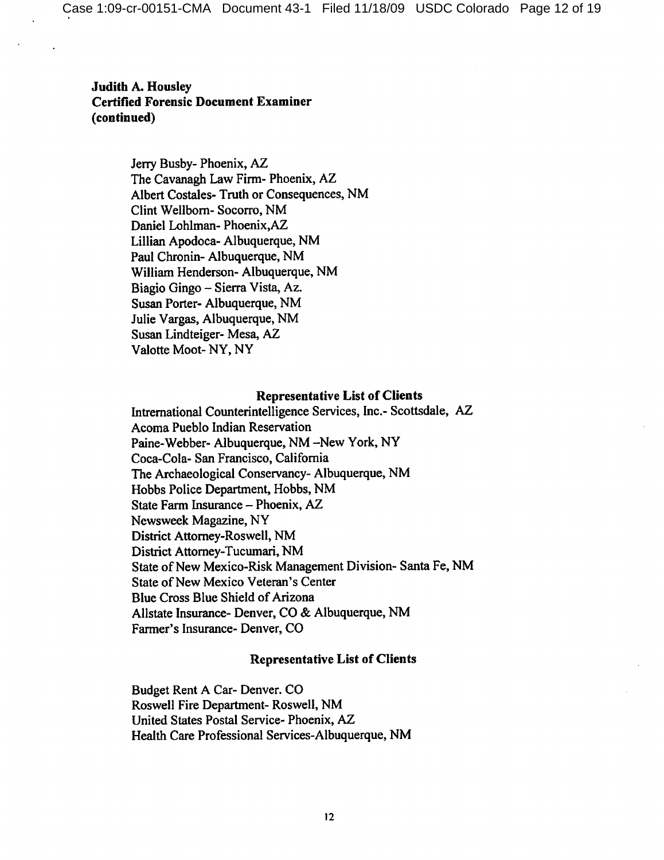> Jerry Busby- Phoenix, AZ The Cavanagh Law Firm-Phoenix, AZ Albert Costales-Truth or Consequences, NM Clint Wellborn-Socorro, NM Daniel Lohlman-Phoenix, AZ Lillian Apodoca- Albuquerque, NM Paul Chronin- Albuquerque, NM William Henderson- Albuquerque, NM Biagio Gingo - Sierra Vista, Az. Susan Porter-Albuquerque, NM Julie Vargas, Albuquerque, NM Susan Lindteiger- Mesa, AZ Valotte Moot-NY, NY

#### **Representative List of Clients**

Intrernational Counterintelligence Services, Inc.- Scottsdale, AZ Acoma Pueblo Indian Reservation Paine-Webber- Albuquerque, NM -New York, NY Coca-Cola- San Francisco, California The Archaeological Conservancy-Albuquerque, NM Hobbs Police Department, Hobbs, NM State Farm Insurance - Phoenix, AZ Newsweek Magazine, NY District Attorney-Roswell, NM District Attorney-Tucumari, NM State of New Mexico-Risk Management Division-Santa Fe, NM State of New Mexico Veteran's Center Blue Cross Blue Shield of Arizona Allstate Insurance- Denver, CO & Albuquerque, NM Farmer's Insurance- Denver, CO

#### **Representative List of Clients**

Budget Rent A Car- Denver. CO Roswell Fire Department-Roswell, NM United States Postal Service- Phoenix, AZ Health Care Professional Services-Albuquerque, NM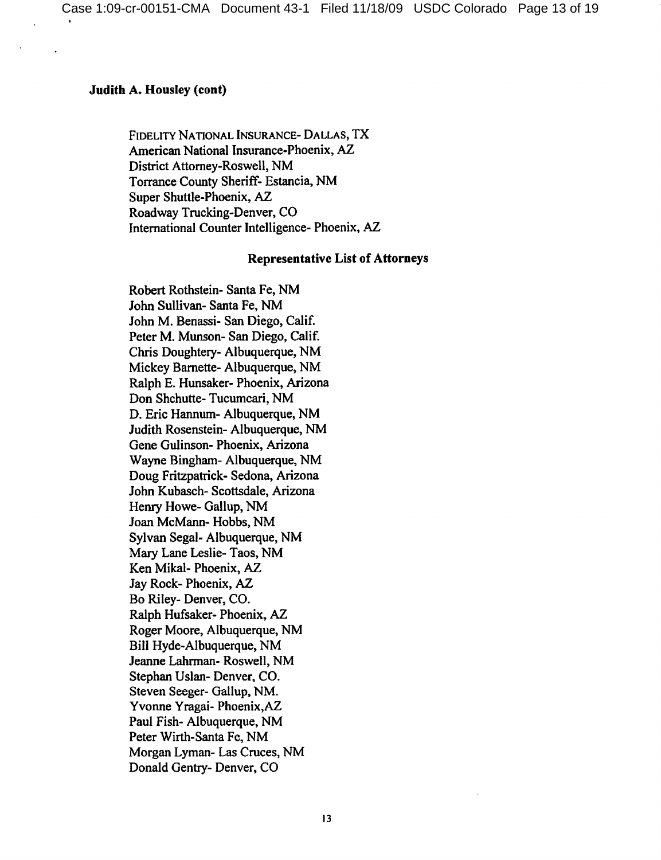### **Judith A. Housley (cont)**

FIDELITY NATIONAL INSURANCE- DALLAS, TX American National Insurance-Phoenix, AZ District Attorney-Roswell, NM Torrance County Sheriff- Estancia, NM Super Shuttle-Phoenix, AZ Roadway Trucking-Denver, CO International Counter Intelligence- Phoenix, AZ

#### **Representative List of Attorneys**

Robert Rothstein-Santa Fe, NM John Sullivan-Santa Fe, NM John M. Benassi- San Diego, Calif. Peter M. Munson-San Diego, Calif. Chris Doughtery-Albuquerque, NM Mickey Barnette-Albuquerque, NM Ralph E. Hunsaker- Phoenix, Arizona Don Shchutte-Tucumcari, NM D. Eric Hannum- Albuquerque, NM Judith Rosenstein-Albuquerque, NM Gene Gulinson- Phoenix, Arizona Wayne Bingham- Albuquerque, NM Doug Fritzpatrick- Sedona, Arizona John Kubasch-Scottsdale, Arizona Henry Howe- Gallup, NM Joan McMann-Hobbs, NM Sylvan Segal- Albuquerque, NM Mary Lane Leslie-Taos, NM Ken Mikal- Phoenix, AZ Jay Rock-Phoenix, AZ Bo Riley-Denver, CO. Ralph Hufsaker-Phoenix, AZ Roger Moore, Albuquerque, NM Bill Hyde-Albuquerque, NM Jeanne Lahrman-Roswell, NM Stephan Uslan-Denver, CO. Steven Seeger- Gallup, NM. Yvonne Yragai- Phoenix, AZ Paul Fish-Albuquerque, NM Peter Wirth-Santa Fe, NM Morgan Lyman-Las Cruces, NM Donald Gentry- Denver, CO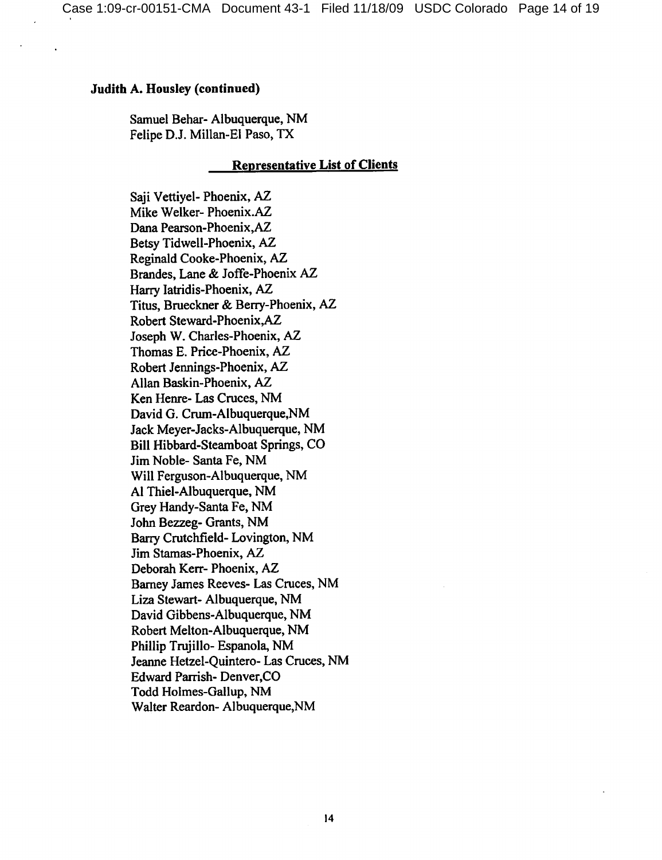### Judith A. Housley (continued)

Samuel Behar-Albuquerque, NM Felipe D.J. Millan-El Paso, TX

### **Representative List of Clients**

Saii Vettiyel- Phoenix, AZ Mike Welker-Phoenix.AZ Dana Pearson-Phoenix, AZ Betsy Tidwell-Phoenix, AZ Reginald Cooke-Phoenix, AZ Brandes, Lane & Joffe-Phoenix AZ Harry latridis-Phoenix, AZ Titus, Brueckner & Berry-Phoenix, AZ Robert Steward-Phoenix, AZ Joseph W. Charles-Phoenix, AZ Thomas E. Price-Phoenix, AZ Robert Jennings-Phoenix, AZ Allan Baskin-Phoenix, AZ Ken Henre- Las Cruces, NM David G. Crum-Albuquerque, NM Jack Meyer-Jacks-Albuquerque, NM Bill Hibbard-Steamboat Springs, CO Jim Noble-Santa Fe, NM Will Ferguson-Albuquerque, NM Al Thiel-Albuquerque, NM Grey Handy-Santa Fe, NM John Bezzeg- Grants, NM Barry Crutchfield-Lovington, NM Jim Stamas-Phoenix, AZ Deborah Kerr-Phoenix, AZ Barney James Reeves- Las Cruces, NM Liza Stewart- Albuquerque, NM David Gibbens-Albuquerque, NM Robert Melton-Albuquerque, NM Phillip Trujillo- Espanola, NM Jeanne Hetzel-Quintero- Las Cruces, NM **Edward Parrish- Denver, CO** Todd Holmes-Gallup, NM Walter Reardon- Albuquerque, NM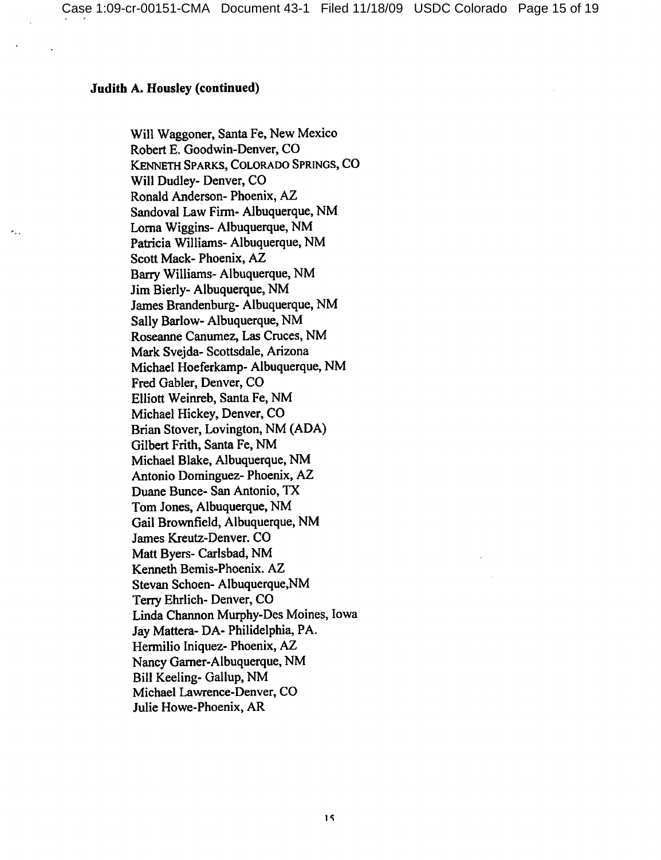### **Judith A. Housley (continued)**

Will Waggoner, Santa Fe, New Mexico Robert E. Goodwin-Denver, CO KENNETH SPARKS, COLORADO SPRINGS, CO Will Dudley- Denver, CO Ronald Anderson-Phoenix, AZ Sandoval Law Firm- Albuquerque, NM Lorna Wiggins- Albuquerque, NM Patricia Williams-Albuquerque, NM Scott Mack-Phoenix, AZ Barry Williams-Albuquerque, NM Jim Bierly- Albuquerque, NM James Brandenburg- Albuquerque, NM Sally Barlow- Albuquerque, NM Roseanne Canumez, Las Cruces, NM Mark Svejda-Scottsdale, Arizona Michael Hoeferkamp- Albuquerque, NM Fred Gabler, Denver, CO Elliott Weinreb, Santa Fe, NM Michael Hickey, Denver, CO Brian Stover, Lovington, NM (ADA) Gilbert Frith, Santa Fe, NM Michael Blake, Albuquerque, NM Antonio Dominguez- Phoenix, AZ Duane Bunce- San Antonio, TX Tom Jones, Albuquerque, NM Gail Brownfield, Albuquerque, NM James Kreutz-Denver. CO Matt Byers- Carlsbad, NM Kenneth Bemis-Phoenix. AZ Stevan Schoen-Albuquerque, NM Terry Ehrlich-Denver, CO Linda Channon Murphy-Des Moines, Iowa Jay Mattera- DA- Philidelphia, PA. Hermilio Iniquez- Phoenix, AZ Nancy Garner-Albuquerque, NM Bill Keeling- Gallup, NM Michael Lawrence-Denver, CO Julie Howe-Phoenix, AR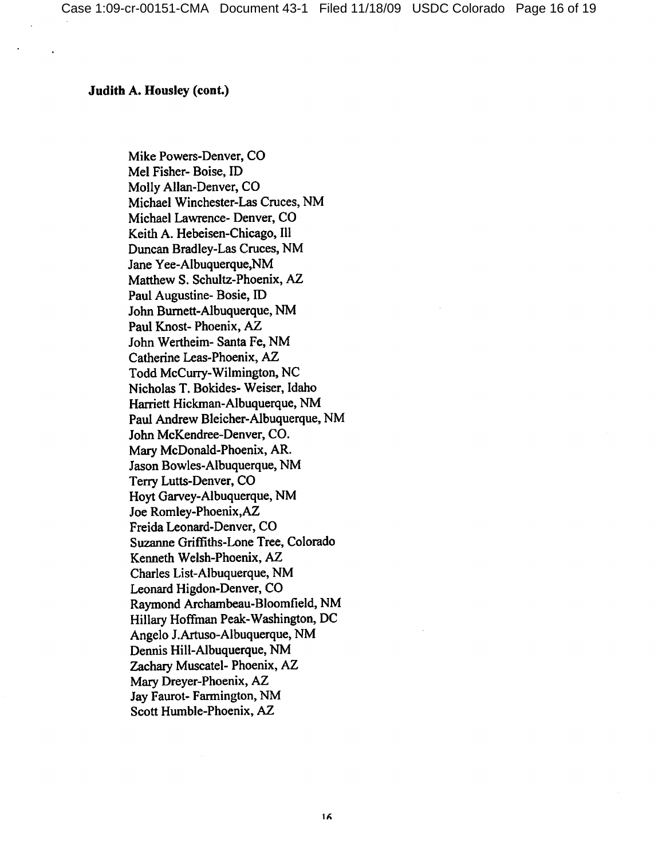### **Judith A. Housley (cont.)**

Mike Powers-Denver, CO Mel Fisher-Boise, ID Molly Allan-Denver, CO Michael Winchester-Las Cruces, NM Michael Lawrence- Denver, CO Keith A. Hebeisen-Chicago, Ill Duncan Bradley-Las Cruces, NM Jane Yee-Albuquerque, NM Matthew S. Schultz-Phoenix, AZ Paul Augustine-Bosie, ID John Burnett-Albuquerque, NM Paul Knost-Phoenix, AZ John Wertheim- Santa Fe, NM Catherine Leas-Phoenix, AZ Todd McCurry-Wilmington, NC Nicholas T. Bokides- Weiser, Idaho Harriett Hickman-Albuquerque, NM Paul Andrew Bleicher-Albuquerque, NM John McKendree-Denver, CO. Mary McDonald-Phoenix, AR. Jason Bowles-Albuquerque, NM Terry Lutts-Denver, CO Hoyt Garvey-Albuquerque, NM Joe Romley-Phoenix, AZ Freida Leonard-Denver, CO Suzanne Griffiths-Lone Tree, Colorado Kenneth Welsh-Phoenix, AZ Charles List-Albuquerque, NM Leonard Higdon-Denver, CO Raymond Archambeau-Bloomfield, NM Hillary Hoffman Peak-Washington, DC Angelo J.Artuso-Albuquerque, NM Dennis Hill-Albuquerque, NM Zachary Muscatel- Phoenix, AZ Mary Dreyer-Phoenix, AZ Jay Faurot-Farmington, NM Scott Humble-Phoenix, AZ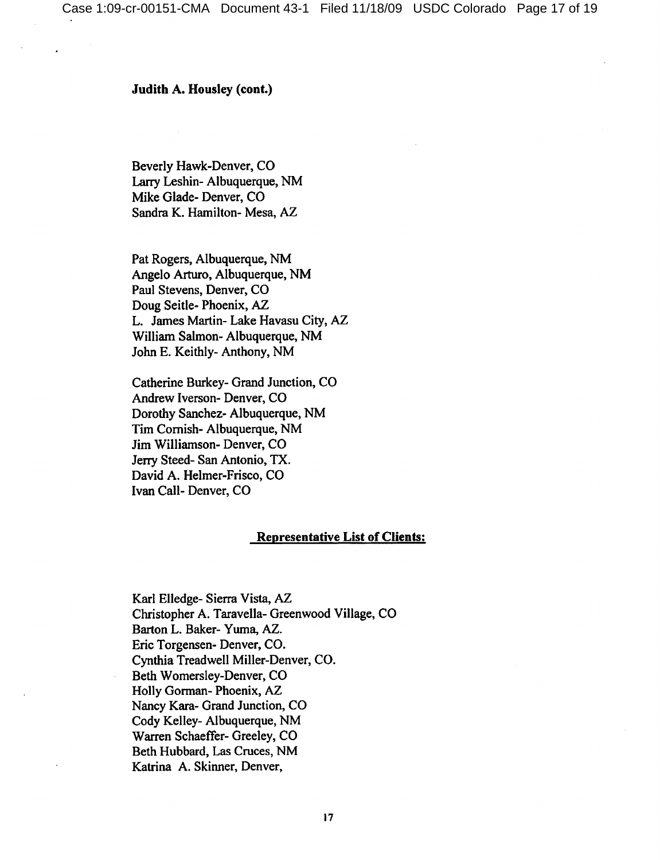Judith A. Housley (cont.)

Beverly Hawk-Denver, CO Larry Leshin-Albuquerque, NM Mike Glade-Denver, CO Sandra K. Hamilton- Mesa, AZ

Pat Rogers, Albuquerque, NM Angelo Arturo, Albuquerque, NM Paul Stevens, Denver, CO Doug Seitle-Phoenix, AZ L. James Martin- Lake Havasu City, AZ William Salmon-Albuquerque, NM John E. Keithly-Anthony, NM

Catherine Burkey- Grand Junction, CO Andrew Iverson- Denver, CO Dorothy Sanchez- Albuquerque, NM Tim Cornish-Albuquerque, NM Jim Williamson- Denver, CO Jerry Steed- San Antonio, TX. David A. Helmer-Frisco, CO Ivan Call-Denver, CO

### **Representative List of Clients:**

Karl Elledge- Sierra Vista, AZ Christopher A. Taravella- Greenwood Village, CO Barton L. Baker- Yuma, AZ. Eric Torgensen-Denver, CO. Cynthia Treadwell Miller-Denver, CO. Beth Womersley-Denver, CO Holly Gorman-Phoenix, AZ Nancy Kara- Grand Junction, CO Cody Kelley-Albuquerque, NM Warren Schaeffer- Greeley, CO Beth Hubbard, Las Cruces, NM Katrina A. Skinner, Denver,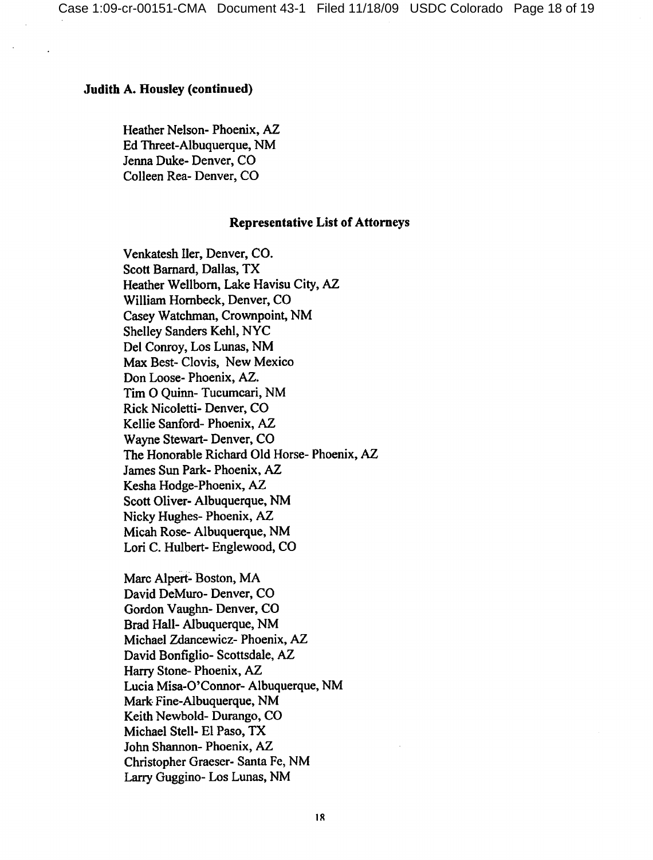### **Judith A. Housley (continued)**

Heather Nelson-Phoenix, AZ Ed Threet-Albuquerque, NM Jenna Duke-Denver, CO Colleen Rea-Denver, CO

#### **Representative List of Attorneys**

Venkatesh Iler, Denver, CO. Scott Barnard, Dallas, TX Heather Wellborn, Lake Havisu City, AZ William Hornbeck, Denver, CO Casey Watchman, Crownpoint, NM Shelley Sanders Kehl, NYC Del Conroy, Los Lunas, NM Max Best-Clovis, New Mexico Don Loose-Phoenix, AZ. Tim O Quinn-Tucumcari, NM Rick Nicoletti- Denver, CO Kellie Sanford-Phoenix, AZ Wayne Stewart-Denver, CO The Honorable Richard Old Horse- Phoenix, AZ James Sun Park-Phoenix, AZ Kesha Hodge-Phoenix, AZ Scott Oliver-Albuquerque, NM Nicky Hughes-Phoenix, AZ Micah Rose-Albuquerque, NM Lori C. Hulbert-Englewood, CO

Marc Alpert-Boston, MA David DeMuro- Denver, CO Gordon Vaughn-Denver, CO Brad Hall- Albuquerque, NM Michael Zdancewicz- Phoenix, AZ David Bonfiglio-Scottsdale, AZ Harry Stone-Phoenix, AZ Lucia Misa-O'Connor- Albuquerque, NM Mark Fine-Albuquerque, NM Keith Newbold-Durango, CO Michael Stell- El Paso, TX John Shannon-Phoenix, AZ Christopher Graeser- Santa Fe, NM Larry Guggino- Los Lunas, NM